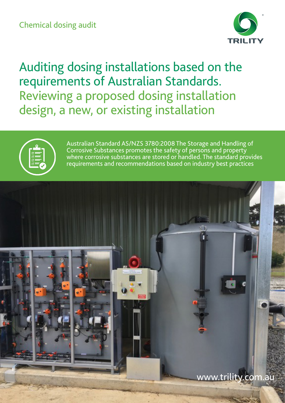

Auditing dosing installations based on the requirements of Australian Standards. Reviewing a proposed dosing installation design, a new, or existing installation



Australian Standard AS/NZS 3780:2008 The Storage and Handling of Corrosive Substances promotes the safety of persons and property where corrosive substances are stored or handled. The standard provides requirements and recommendations based on industry best practices